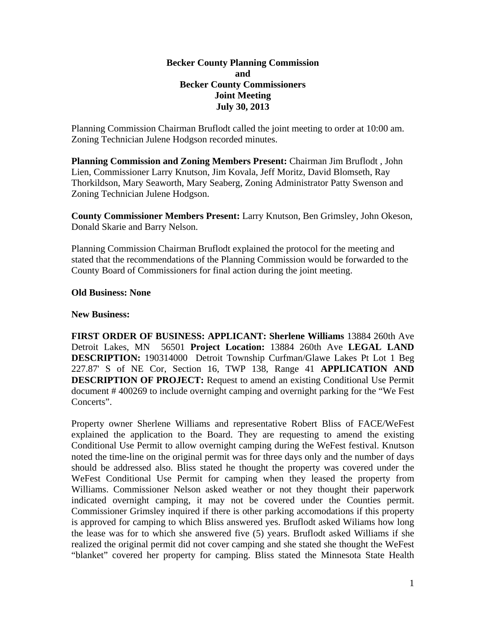## **Becker County Planning Commission and Becker County Commissioners Joint Meeting July 30, 2013**

Planning Commission Chairman Bruflodt called the joint meeting to order at 10:00 am. Zoning Technician Julene Hodgson recorded minutes.

**Planning Commission and Zoning Members Present:** Chairman Jim Bruflodt , John Lien, Commissioner Larry Knutson, Jim Kovala, Jeff Moritz, David Blomseth, Ray Thorkildson, Mary Seaworth, Mary Seaberg, Zoning Administrator Patty Swenson and Zoning Technician Julene Hodgson.

**County Commissioner Members Present:** Larry Knutson, Ben Grimsley, John Okeson, Donald Skarie and Barry Nelson.

Planning Commission Chairman Bruflodt explained the protocol for the meeting and stated that the recommendations of the Planning Commission would be forwarded to the County Board of Commissioners for final action during the joint meeting.

## **Old Business: None**

## **New Business:**

**FIRST ORDER OF BUSINESS: APPLICANT: Sherlene Williams** 13884 260th Ave Detroit Lakes, MN 56501 **Project Location:** 13884 260th Ave **LEGAL LAND DESCRIPTION:** 190314000 Detroit Township Curfman/Glawe Lakes Pt Lot 1 Beg 227.87' S of NE Cor, Section 16, TWP 138, Range 41 **APPLICATION AND DESCRIPTION OF PROJECT:** Request to amend an existing Conditional Use Permit document # 400269 to include overnight camping and overnight parking for the "We Fest Concerts".

Property owner Sherlene Williams and representative Robert Bliss of FACE/WeFest explained the application to the Board. They are requesting to amend the existing Conditional Use Permit to allow overnight camping during the WeFest festival. Knutson noted the time-line on the original permit was for three days only and the number of days should be addressed also. Bliss stated he thought the property was covered under the WeFest Conditional Use Permit for camping when they leased the property from Williams. Commissioner Nelson asked weather or not they thought their paperwork indicated overnight camping, it may not be covered under the Counties permit. Commissioner Grimsley inquired if there is other parking accomodations if this property is approved for camping to which Bliss answered yes. Bruflodt asked Wiliams how long the lease was for to which she answered five (5) years. Bruflodt asked Williams if she realized the original permit did not cover camping and she stated she thought the WeFest "blanket" covered her property for camping. Bliss stated the Minnesota State Health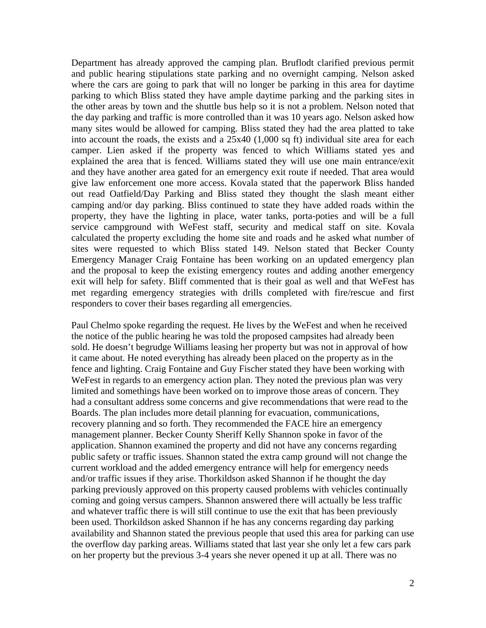Department has already approved the camping plan. Bruflodt clarified previous permit and public hearing stipulations state parking and no overnight camping. Nelson asked where the cars are going to park that will no longer be parking in this area for daytime parking to which Bliss stated they have ample daytime parking and the parking sites in the other areas by town and the shuttle bus help so it is not a problem. Nelson noted that the day parking and traffic is more controlled than it was 10 years ago. Nelson asked how many sites would be allowed for camping. Bliss stated they had the area platted to take into account the roads, the exists and a 25x40 (1,000 sq ft) individual site area for each camper. Lien asked if the property was fenced to which Williams stated yes and explained the area that is fenced. Williams stated they will use one main entrance/exit and they have another area gated for an emergency exit route if needed. That area would give law enforcement one more access. Kovala stated that the paperwork Bliss handed out read Oatfield/Day Parking and Bliss stated they thought the slash meant either camping and/or day parking. Bliss continued to state they have added roads within the property, they have the lighting in place, water tanks, porta-poties and will be a full service campground with WeFest staff, security and medical staff on site. Kovala calculated the property excluding the home site and roads and he asked what number of sites were requested to which Bliss stated 149. Nelson stated that Becker County Emergency Manager Craig Fontaine has been working on an updated emergency plan and the proposal to keep the existing emergency routes and adding another emergency exit will help for safety. Bliff commented that is their goal as well and that WeFest has met regarding emergency strategies with drills completed with fire/rescue and first responders to cover their bases regarding all emergencies.

Paul Chelmo spoke regarding the request. He lives by the WeFest and when he received the notice of the public hearing he was told the proposed campsites had already been sold. He doesn't begrudge Williams leasing her property but was not in approval of how it came about. He noted everything has already been placed on the property as in the fence and lighting. Craig Fontaine and Guy Fischer stated they have been working with WeFest in regards to an emergency action plan. They noted the previous plan was very limited and somethings have been worked on to improve those areas of concern. They had a consultant address some concerns and give recommendations that were read to the Boards. The plan includes more detail planning for evacuation, communications, recovery planning and so forth. They recommended the FACE hire an emergency management planner. Becker County Sheriff Kelly Shannon spoke in favor of the application. Shannon examined the property and did not have any concerns regarding public safety or traffic issues. Shannon stated the extra camp ground will not change the current workload and the added emergency entrance will help for emergency needs and/or traffic issues if they arise. Thorkildson asked Shannon if he thought the day parking previously approved on this property caused problems with vehicles continually coming and going versus campers. Shannon answered there will actually be less traffic and whatever traffic there is will still continue to use the exit that has been previously been used. Thorkildson asked Shannon if he has any concerns regarding day parking availability and Shannon stated the previous people that used this area for parking can use the overflow day parking areas. Williams stated that last year she only let a few cars park on her property but the previous 3-4 years she never opened it up at all. There was no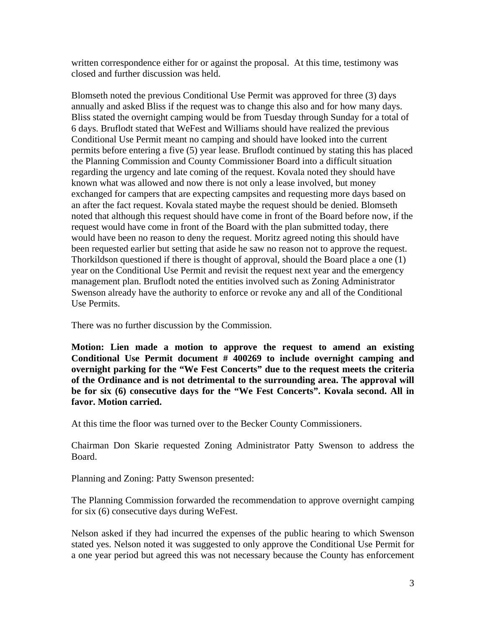written correspondence either for or against the proposal. At this time, testimony was closed and further discussion was held.

Blomseth noted the previous Conditional Use Permit was approved for three (3) days annually and asked Bliss if the request was to change this also and for how many days. Bliss stated the overnight camping would be from Tuesday through Sunday for a total of 6 days. Bruflodt stated that WeFest and Williams should have realized the previous Conditional Use Permit meant no camping and should have looked into the current permits before entering a five (5) year lease. Bruflodt continued by stating this has placed the Planning Commission and County Commissioner Board into a difficult situation regarding the urgency and late coming of the request. Kovala noted they should have known what was allowed and now there is not only a lease involved, but money exchanged for campers that are expecting campsites and requesting more days based on an after the fact request. Kovala stated maybe the request should be denied. Blomseth noted that although this request should have come in front of the Board before now, if the request would have come in front of the Board with the plan submitted today, there would have been no reason to deny the request. Moritz agreed noting this should have been requested earlier but setting that aside he saw no reason not to approve the request. Thorkildson questioned if there is thought of approval, should the Board place a one (1) year on the Conditional Use Permit and revisit the request next year and the emergency management plan. Bruflodt noted the entities involved such as Zoning Administrator Swenson already have the authority to enforce or revoke any and all of the Conditional Use Permits.

There was no further discussion by the Commission.

**Motion: Lien made a motion to approve the request to amend an existing Conditional Use Permit document # 400269 to include overnight camping and overnight parking for the "We Fest Concerts" due to the request meets the criteria of the Ordinance and is not detrimental to the surrounding area. The approval will be for six (6) consecutive days for the "We Fest Concerts". Kovala second. All in favor. Motion carried.** 

At this time the floor was turned over to the Becker County Commissioners.

Chairman Don Skarie requested Zoning Administrator Patty Swenson to address the Board.

Planning and Zoning: Patty Swenson presented:

The Planning Commission forwarded the recommendation to approve overnight camping for six (6) consecutive days during WeFest.

Nelson asked if they had incurred the expenses of the public hearing to which Swenson stated yes. Nelson noted it was suggested to only approve the Conditional Use Permit for a one year period but agreed this was not necessary because the County has enforcement